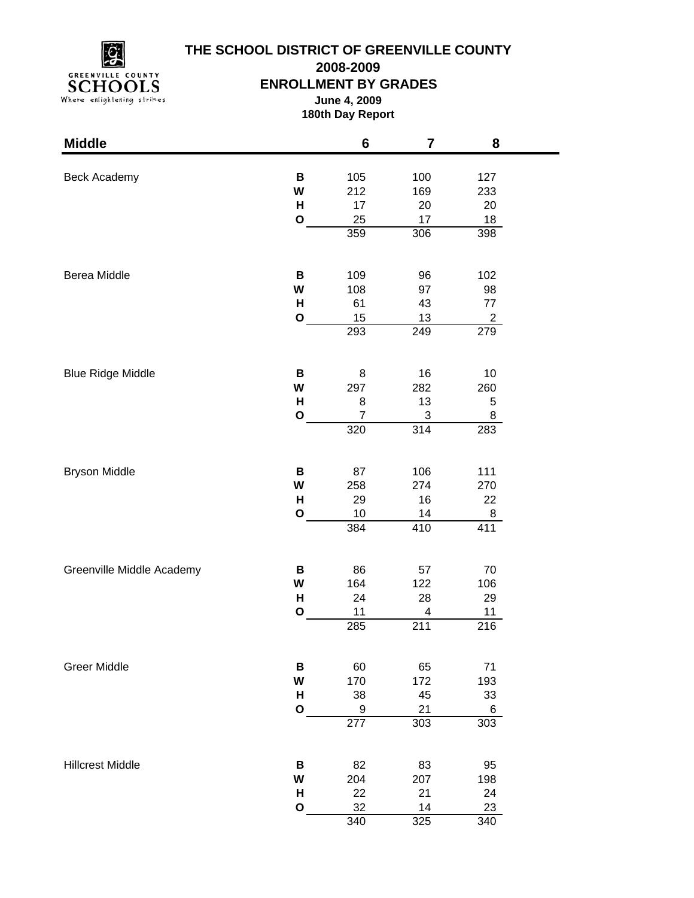

# **THE SCHOOL DISTRICT OF GREENVILLE COUNTY**

**2008-2009**

### **ENROLLMENT BY GRADES**

**June 4, 2009 180th Day Report**

| <b>Middle</b>             |              | 6              | 7   | 8              |  |
|---------------------------|--------------|----------------|-----|----------------|--|
|                           |              |                |     |                |  |
| Beck Academy              | В            | 105            | 100 | 127            |  |
|                           | W            | 212            | 169 | 233            |  |
|                           | н            | 17             | 20  | 20             |  |
|                           | $\mathbf{o}$ | 25<br>359      | 17  | 18             |  |
|                           |              |                | 306 | 398            |  |
| Berea Middle              | B            | 109            | 96  | 102            |  |
|                           | W            | 108            | 97  | 98             |  |
|                           | н            | 61             | 43  | 77             |  |
|                           | $\mathbf{o}$ | 15             | 13  | $\overline{2}$ |  |
|                           |              | 293            | 249 | 279            |  |
| <b>Blue Ridge Middle</b>  | В            | 8              | 16  | 10             |  |
|                           | W            | 297            | 282 | 260            |  |
|                           | H            | 8              | 13  | 5              |  |
|                           | $\mathbf{o}$ | $\overline{7}$ | 3   | 8              |  |
|                           |              | 320            | 314 | 283            |  |
|                           |              |                |     |                |  |
| <b>Bryson Middle</b>      | В            | 87             | 106 | 111            |  |
|                           | W            | 258            | 274 | 270            |  |
|                           | H            | 29             | 16  | 22             |  |
|                           | $\mathbf{o}$ | 10             | 14  | 8              |  |
|                           |              | 384            | 410 | 411            |  |
| Greenville Middle Academy | В            | 86             | 57  | 70             |  |
|                           | W            | 164            | 122 | 106            |  |
|                           | H            | 24             | 28  | 29             |  |
|                           | $\mathbf{o}$ | 11             | 4   | 11             |  |
|                           |              | 285            | 211 | 216            |  |
| <b>Greer Middle</b>       | В            | 60             | 65  | 71             |  |
|                           | W            | 170            | 172 | 193            |  |
|                           | н            | 38             | 45  | 33             |  |
|                           | $\mathbf O$  | 9              | 21  | 6              |  |
|                           |              | 277            | 303 | 303            |  |
| <b>Hillcrest Middle</b>   | В            | 82             | 83  | 95             |  |
|                           | W            | 204            | 207 | 198            |  |
|                           | н            | 22             | 21  | 24             |  |
|                           | $\mathbf{o}$ | 32             | 14  | 23             |  |
|                           |              | 340            | 325 | 340            |  |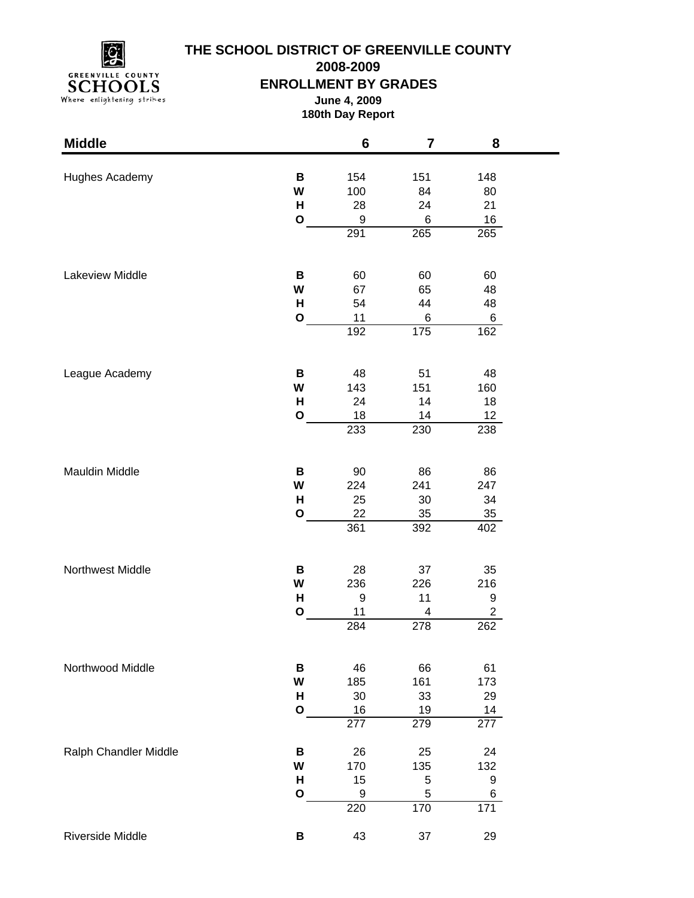

# **THE SCHOOL DISTRICT OF GREENVILLE COUNTY**

**2008-2009**

### **ENROLLMENT BY GRADES**

**June 4, 2009 180th Day Report**

| <b>Middle</b>         |              | 6                      | 7                | 8                      |  |
|-----------------------|--------------|------------------------|------------------|------------------------|--|
|                       | В            | 154                    | 151              | 148                    |  |
| Hughes Academy        | W            | 100                    | 84               | 80                     |  |
|                       | н            | 28                     | 24               | 21                     |  |
|                       | $\mathbf{o}$ | 9                      | 6                | 16                     |  |
|                       |              | 291                    | 265              | 265                    |  |
|                       |              |                        |                  |                        |  |
| Lakeview Middle       | В            | 60                     | 60               | 60                     |  |
|                       | W            | 67                     | 65               | 48                     |  |
|                       | н            | 54                     | 44               | 48                     |  |
|                       | $\mathbf{o}$ | 11                     | 6                | 6                      |  |
|                       |              | 192                    | $\overline{175}$ | 162                    |  |
|                       |              |                        |                  |                        |  |
| League Academy        | В            | 48                     | 51               | 48                     |  |
|                       | W            | 143                    | 151              | 160                    |  |
|                       | H            | 24                     | 14               | 18                     |  |
|                       | O            | 18                     | 14               | $12 \overline{ }$      |  |
|                       |              | 233                    | 230              | 238                    |  |
|                       |              |                        |                  |                        |  |
| Mauldin Middle        | В            | 90                     | 86               | 86                     |  |
|                       | W            | 224                    | 241              | 247                    |  |
|                       | H            | 25                     | 30               | 34                     |  |
|                       | O            | 22                     | 35               | 35                     |  |
|                       |              | 361                    | 392              | 402                    |  |
|                       |              |                        |                  |                        |  |
| Northwest Middle      | В            | 28                     | 37               | 35                     |  |
|                       | W            | 236                    | 226              | 216                    |  |
|                       | н            | 9                      | 11               | 9                      |  |
|                       | $\mathbf{o}$ | 11                     | 4                | $\overline{c}$         |  |
|                       |              | 284                    | 278              | 262                    |  |
|                       |              |                        |                  |                        |  |
| Northwood Middle      | В            | 46                     | 66               | 61                     |  |
|                       | W            | 185                    | 161              | 173                    |  |
|                       | H            | 30                     | 33               | 29                     |  |
|                       | $\mathbf{o}$ | 16<br>$\overline{277}$ | 19<br>279        | 14<br>$\overline{277}$ |  |
|                       |              |                        |                  |                        |  |
| Ralph Chandler Middle | В            | 26                     | 25               | 24                     |  |
|                       | W            | 170                    | 135              | 132                    |  |
|                       | H            | 15                     | 5                | 9                      |  |
|                       | $\mathbf{o}$ | 9                      | $\mathbf 5$      | 6                      |  |
|                       |              | 220                    | 170              | $\overline{171}$       |  |
| Riverside Middle      | В            | 43                     | 37               | 29                     |  |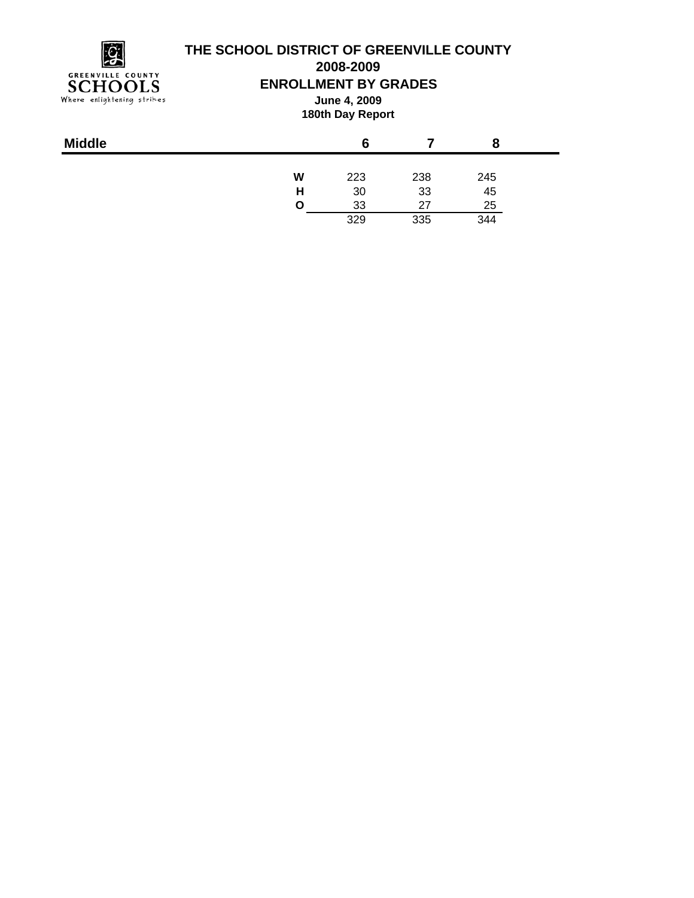

## **THE SCHOOL DISTRICT OF GREENVILLE COUNTY**

**2008-2009**

**ENROLLMENT BY GRADES**

**June 4, 2009 180th Day Report**

|   | 6   |     |     |
|---|-----|-----|-----|
| W | 223 | 238 | 245 |
| Н | 30  | 33  | 45  |
| O | 33  | 27  | 25  |
|   | 329 | 335 | 344 |
|   |     |     |     |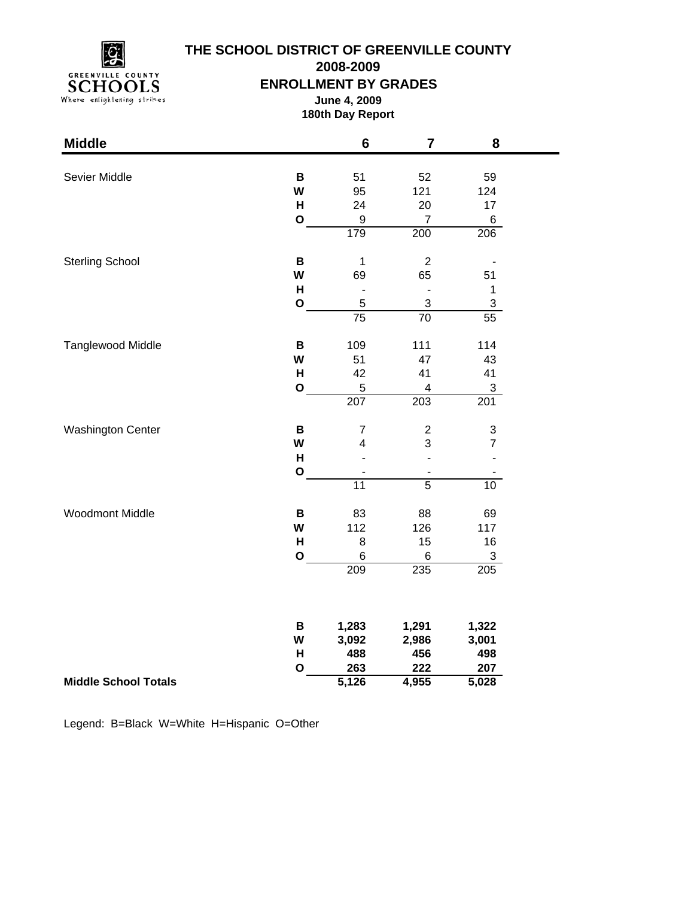**GREENVILLE COUNTY** SCHOOLS<br>Where enlightening strikes

## **THE SCHOOL DISTRICT OF GREENVILLE COUNTY**

**2008-2009**

**ENROLLMENT BY GRADES**

**June 4, 2009 180th Day Report**

۰

| <b>Middle</b>               |              | $6\phantom{1}$               | $\overline{7}$           | 8                         |
|-----------------------------|--------------|------------------------------|--------------------------|---------------------------|
|                             |              |                              |                          |                           |
| Sevier Middle               | B            | 51                           | 52                       | 59                        |
|                             | W            | 95                           | 121                      | 124                       |
|                             | H            | 24                           | 20                       | 17                        |
|                             | $\mathbf O$  | $\boldsymbol{9}$             | $\overline{7}$           | 6                         |
|                             |              | 179                          | 200                      | 206                       |
| <b>Sterling School</b>      | B            | 1                            | $\boldsymbol{2}$         |                           |
|                             | W            | 69                           | 65                       | 51                        |
|                             | H            | $\qquad \qquad \blacksquare$ | $\blacksquare$           | $\mathbf 1$               |
|                             | $\mathbf{o}$ | 5                            | $\sqrt{3}$               | $\sqrt{3}$                |
|                             |              | $\overline{75}$              | 70                       | 55                        |
| <b>Tanglewood Middle</b>    | B            | 109                          | 111                      | 114                       |
|                             | W            | 51                           | 47                       | 43                        |
|                             | H            | 42                           | 41                       | 41                        |
|                             | $\mathbf{o}$ | 5                            | 4                        | 3                         |
|                             |              | 207                          | 203                      | 201                       |
| <b>Washington Center</b>    | $\, {\bf B}$ | $\overline{7}$               | $\overline{\mathbf{c}}$  | $\ensuremath{\mathsf{3}}$ |
|                             | W            | $\overline{\mathbf{4}}$      | 3                        | $\overline{7}$            |
|                             | H            |                              | ÷,                       |                           |
|                             | $\mathbf{o}$ | ÷                            | $\overline{\phantom{a}}$ |                           |
|                             |              | $\overline{11}$              | $\overline{5}$           | 10 <sup>1</sup>           |
| <b>Woodmont Middle</b>      | B            | 83                           | 88                       | 69                        |
|                             | W            | 112                          | 126                      | 117                       |
|                             | H            | 8                            | 15                       | 16                        |
|                             | $\mathbf{o}$ | $\,6$                        | 6                        | $\ensuremath{\mathsf{3}}$ |
|                             |              | 209                          | 235                      | 205                       |
|                             |              |                              |                          |                           |
|                             | B            | 1,283                        | 1,291                    | 1,322                     |
|                             | W            | 3,092                        | 2,986                    | 3,001                     |
|                             | H            | 488                          | 456                      | 498                       |
|                             | $\mathbf{o}$ | 263                          | 222                      | 207                       |
| <b>Middle School Totals</b> |              | 5,126                        | 4,955                    | 5,028                     |

Legend: B=Black W=White H=Hispanic O=Other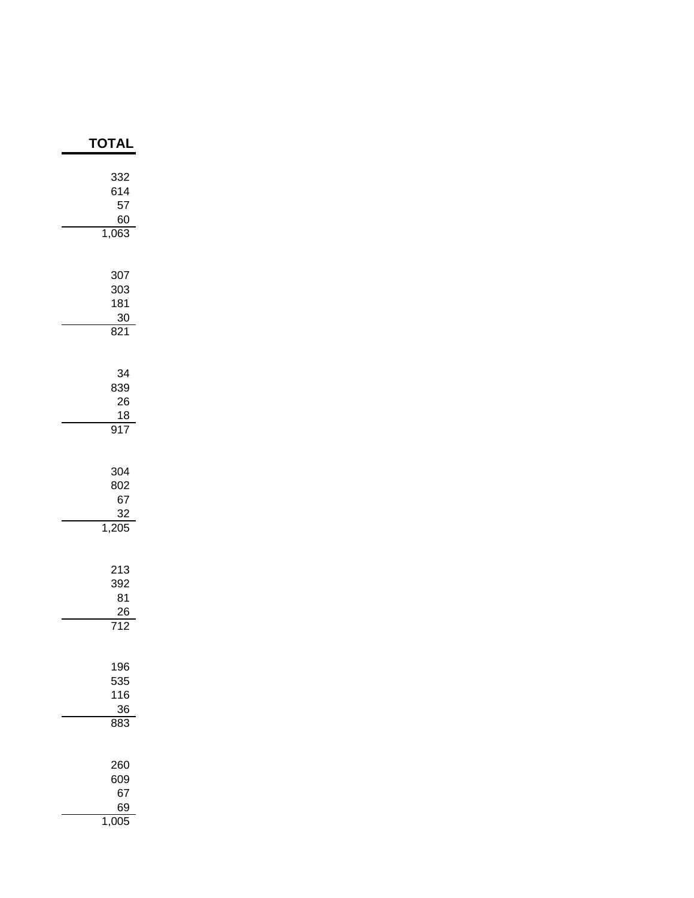| TOTAL                                                 |
|-------------------------------------------------------|
| 332<br>614<br>57<br>60<br>1,063                       |
| 307<br>303<br>181<br>30<br>$\frac{1}{821}$            |
| 34<br>839<br>26<br>$\frac{18}{1}$<br>917              |
| 304<br>802<br>67<br>32<br>1,205                       |
| 213<br>392<br>81<br>$\frac{26}{5}$<br>$\overline{12}$ |
| 196<br>535<br>116<br>36<br>883                        |
| 260<br>609<br>67<br>69<br>1,005                       |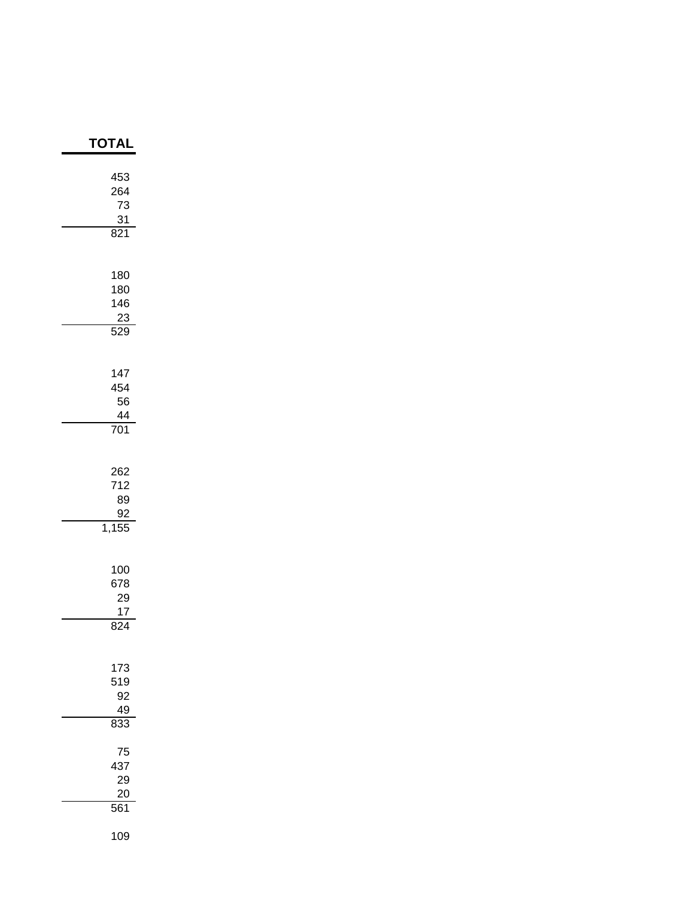| TOTAL                                |
|--------------------------------------|
| 453<br>264<br>73<br>$\frac{31}{821}$ |
| 180<br>180<br>146<br>23<br>529       |
| 147<br>454<br>56<br>44<br>701        |
| 262<br>712<br>89<br>92<br>1,155      |
| 100<br>678<br>29<br>17<br>824        |
| 173<br>519<br>92<br>49<br>833        |
| 75<br>437<br>29<br>20<br>561         |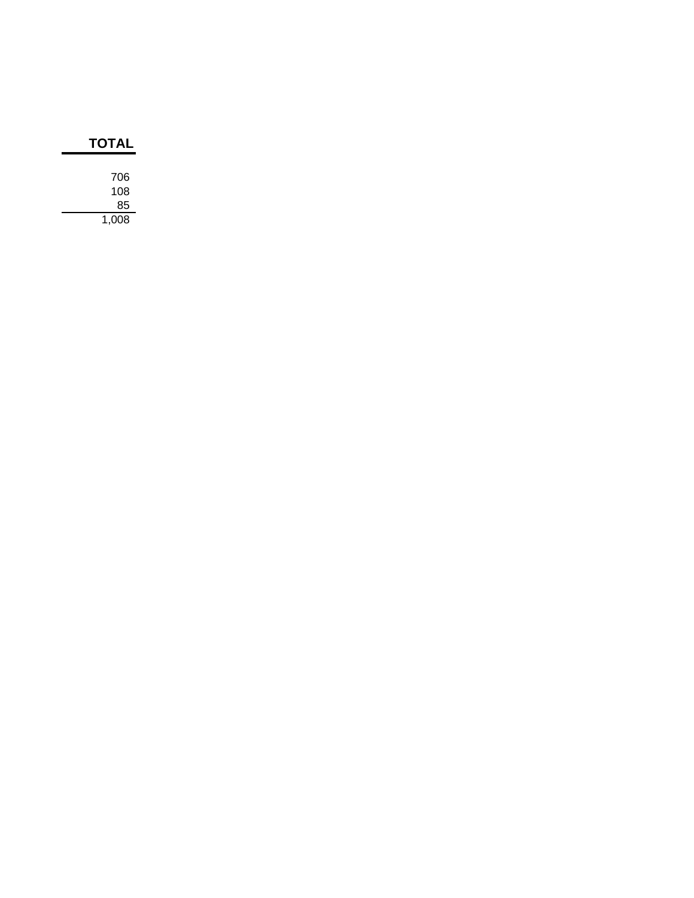| TOTAL |  |  |
|-------|--|--|
|       |  |  |
| 706   |  |  |
| 108   |  |  |
| 85    |  |  |
| 1,008 |  |  |